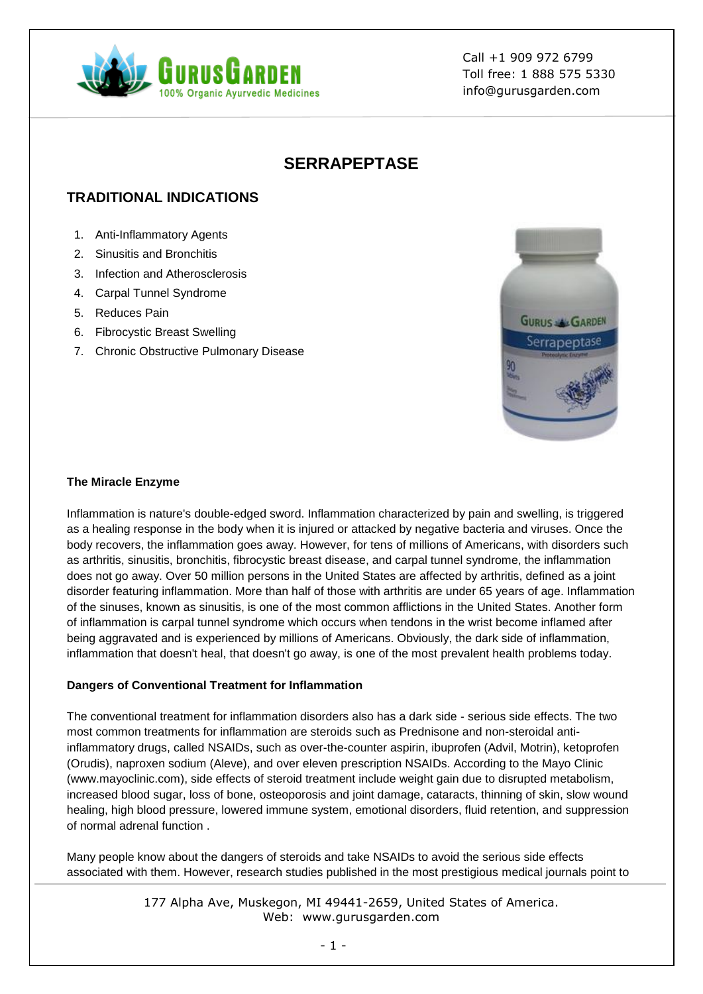

# **SERRAPEPTASE**

# **TRADITIONAL INDICATIONS**

- 1. Anti-Inflammatory Agents
- 2. Sinusitis and Bronchitis
- 3. Infection and Atherosclerosis
- 4. Carpal Tunnel Syndrome
- 5. Reduces Pain
- 6. Fibrocystic Breast Swelling
- 7. Chronic Obstructive Pulmonary Disease



## **The Miracle Enzyme**

Inflammation is nature's double-edged sword. Inflammation characterized by pain and swelling, is triggered as a healing response in the body when it is injured or attacked by negative bacteria and viruses. Once the body recovers, the inflammation goes away. However, for tens of millions of Americans, with disorders such as arthritis, sinusitis, bronchitis, fibrocystic breast disease, and carpal tunnel syndrome, the inflammation does not go away. Over 50 million persons in the United States are affected by arthritis, defined as a joint disorder featuring inflammation. More than half of those with arthritis are under 65 years of age. Inflammation of the sinuses, known as sinusitis, is one of the most common afflictions in the United States. Another form of inflammation is carpal tunnel syndrome which occurs when tendons in the wrist become inflamed after being aggravated and is experienced by millions of Americans. Obviously, the dark side of inflammation, inflammation that doesn't heal, that doesn't go away, is one of the most prevalent health problems today.

## **Dangers of Conventional Treatment for Inflammation**

The conventional treatment for inflammation disorders also has a dark side - serious side effects. The two most common treatments for inflammation are steroids such as Prednisone and non-steroidal antiinflammatory drugs, called NSAIDs, such as over-the-counter aspirin, ibuprofen (Advil, Motrin), ketoprofen (Orudis), naproxen sodium (Aleve), and over eleven prescription NSAIDs. According to the Mayo Clinic (www.mayoclinic.com), side effects of steroid treatment include weight gain due to disrupted metabolism, increased blood sugar, loss of bone, osteoporosis and joint damage, cataracts, thinning of skin, slow wound healing, high blood pressure, lowered immune system, emotional disorders, fluid retention, and suppression of normal adrenal function .

Many people know about the dangers of steroids and take NSAIDs to avoid the serious side effects associated with them. However, research studies published in the most prestigious medical journals point to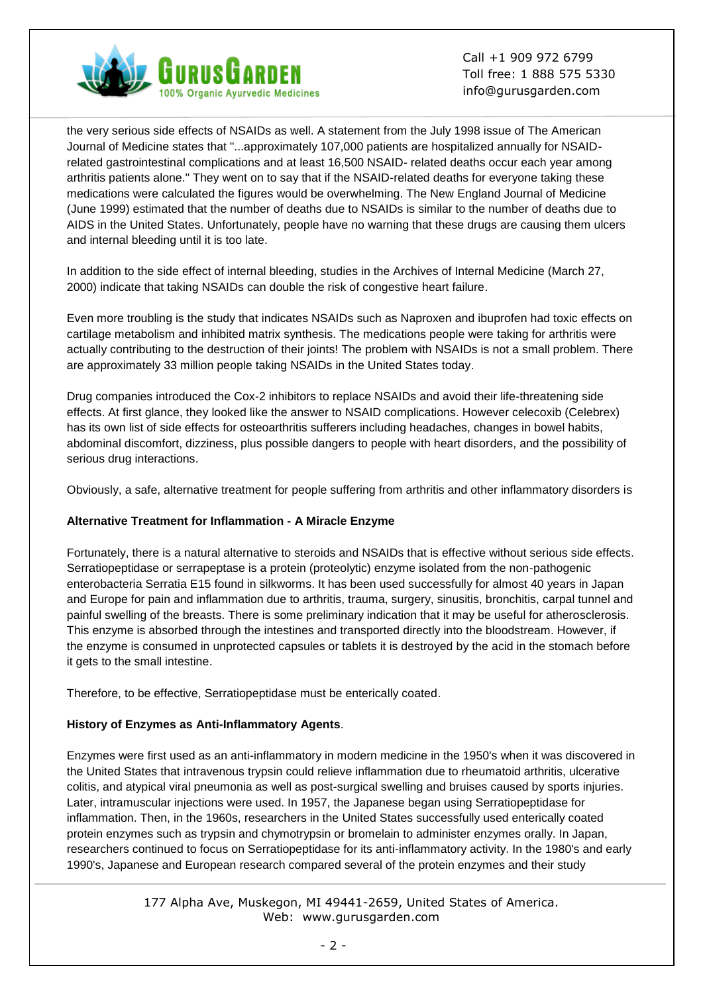

the very serious side effects of NSAIDs as well. A statement from the July 1998 issue of The American Journal of Medicine states that "...approximately 107,000 patients are hospitalized annually for NSAIDrelated gastrointestinal complications and at least 16,500 NSAID- related deaths occur each year among arthritis patients alone." They went on to say that if the NSAID-related deaths for everyone taking these medications were calculated the figures would be overwhelming. The New England Journal of Medicine (June 1999) estimated that the number of deaths due to NSAIDs is similar to the number of deaths due to AIDS in the United States. Unfortunately, people have no warning that these drugs are causing them ulcers and internal bleeding until it is too late.

In addition to the side effect of internal bleeding, studies in the Archives of Internal Medicine (March 27, 2000) indicate that taking NSAIDs can double the risk of congestive heart failure.

Even more troubling is the study that indicates NSAIDs such as Naproxen and ibuprofen had toxic effects on cartilage metabolism and inhibited matrix synthesis. The medications people were taking for arthritis were actually contributing to the destruction of their joints! The problem with NSAIDs is not a small problem. There are approximately 33 million people taking NSAIDs in the United States today.

Drug companies introduced the Cox-2 inhibitors to replace NSAIDs and avoid their life-threatening side effects. At first glance, they looked like the answer to NSAID complications. However celecoxib (Celebrex) has its own list of side effects for osteoarthritis sufferers including headaches, changes in bowel habits, abdominal discomfort, dizziness, plus possible dangers to people with heart disorders, and the possibility of serious drug interactions.

Obviously, a safe, alternative treatment for people suffering from arthritis and other inflammatory disorders is

## **Alternative Treatment for Inflammation - A Miracle Enzyme**

Fortunately, there is a natural alternative to steroids and NSAIDs that is effective without serious side effects. Serratiopeptidase or serrapeptase is a protein (proteolytic) enzyme isolated from the non-pathogenic enterobacteria Serratia E15 found in silkworms. It has been used successfully for almost 40 years in Japan and Europe for pain and inflammation due to arthritis, trauma, surgery, sinusitis, bronchitis, carpal tunnel and painful swelling of the breasts. There is some preliminary indication that it may be useful for atherosclerosis. This enzyme is absorbed through the intestines and transported directly into the bloodstream. However, if the enzyme is consumed in unprotected capsules or tablets it is destroyed by the acid in the stomach before it gets to the small intestine.

Therefore, to be effective, Serratiopeptidase must be enterically coated.

## **History of Enzymes as Anti-Inflammatory Agents**.

Enzymes were first used as an anti-inflammatory in modern medicine in the 1950's when it was discovered in the United States that intravenous trypsin could relieve inflammation due to rheumatoid arthritis, ulcerative colitis, and atypical viral pneumonia as well as post-surgical swelling and bruises caused by sports injuries. Later, intramuscular injections were used. In 1957, the Japanese began using Serratiopeptidase for inflammation. Then, in the 1960s, researchers in the United States successfully used enterically coated protein enzymes such as trypsin and chymotrypsin or bromelain to administer enzymes orally. In Japan, researchers continued to focus on Serratiopeptidase for its anti-inflammatory activity. In the 1980's and early 1990's, Japanese and European research compared several of the protein enzymes and their study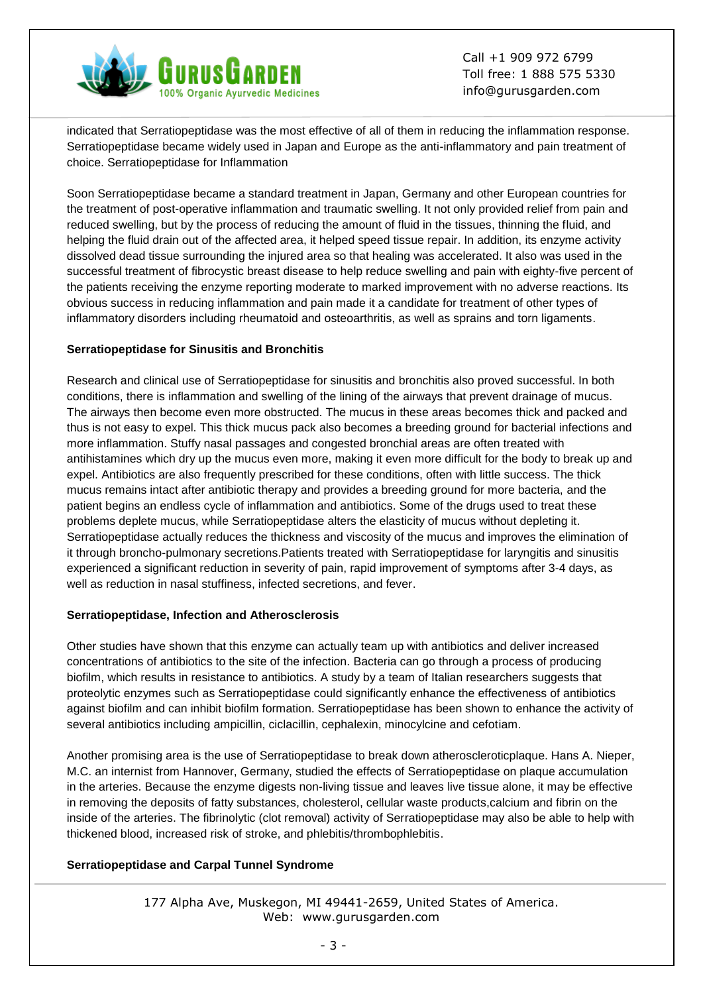

indicated that Serratiopeptidase was the most effective of all of them in reducing the inflammation response. Serratiopeptidase became widely used in Japan and Europe as the anti-inflammatory and pain treatment of choice. Serratiopeptidase for Inflammation

Soon Serratiopeptidase became a standard treatment in Japan, Germany and other European countries for the treatment of post-operative inflammation and traumatic swelling. It not only provided relief from pain and reduced swelling, but by the process of reducing the amount of fluid in the tissues, thinning the fluid, and helping the fluid drain out of the affected area, it helped speed tissue repair. In addition, its enzyme activity dissolved dead tissue surrounding the injured area so that healing was accelerated. It also was used in the successful treatment of fibrocystic breast disease to help reduce swelling and pain with eighty-five percent of the patients receiving the enzyme reporting moderate to marked improvement with no adverse reactions. Its obvious success in reducing inflammation and pain made it a candidate for treatment of other types of inflammatory disorders including rheumatoid and osteoarthritis, as well as sprains and torn ligaments.

## **Serratiopeptidase for Sinusitis and Bronchitis**

Research and clinical use of Serratiopeptidase for sinusitis and bronchitis also proved successful. In both conditions, there is inflammation and swelling of the lining of the airways that prevent drainage of mucus. The airways then become even more obstructed. The mucus in these areas becomes thick and packed and thus is not easy to expel. This thick mucus pack also becomes a breeding ground for bacterial infections and more inflammation. Stuffy nasal passages and congested bronchial areas are often treated with antihistamines which dry up the mucus even more, making it even more difficult for the body to break up and expel. Antibiotics are also frequently prescribed for these conditions, often with little success. The thick mucus remains intact after antibiotic therapy and provides a breeding ground for more bacteria, and the patient begins an endless cycle of inflammation and antibiotics. Some of the drugs used to treat these problems deplete mucus, while Serratiopeptidase alters the elasticity of mucus without depleting it. Serratiopeptidase actually reduces the thickness and viscosity of the mucus and improves the elimination of it through broncho-pulmonary secretions.Patients treated with Serratiopeptidase for laryngitis and sinusitis experienced a significant reduction in severity of pain, rapid improvement of symptoms after 3-4 days, as well as reduction in nasal stuffiness, infected secretions, and fever.

## **Serratiopeptidase, Infection and Atherosclerosis**

Other studies have shown that this enzyme can actually team up with antibiotics and deliver increased concentrations of antibiotics to the site of the infection. Bacteria can go through a process of producing biofilm, which results in resistance to antibiotics. A study by a team of Italian researchers suggests that proteolytic enzymes such as Serratiopeptidase could significantly enhance the effectiveness of antibiotics against biofilm and can inhibit biofilm formation. Serratiopeptidase has been shown to enhance the activity of several antibiotics including ampicillin, ciclacillin, cephalexin, minocylcine and cefotiam.

Another promising area is the use of Serratiopeptidase to break down atheroscleroticplaque. Hans A. Nieper, M.C. an internist from Hannover, Germany, studied the effects of Serratiopeptidase on plaque accumulation in the arteries. Because the enzyme digests non-living tissue and leaves live tissue alone, it may be effective in removing the deposits of fatty substances, cholesterol, cellular waste products,calcium and fibrin on the inside of the arteries. The fibrinolytic (clot removal) activity of Serratiopeptidase may also be able to help with thickened blood, increased risk of stroke, and phlebitis/thrombophlebitis.

## **Serratiopeptidase and Carpal Tunnel Syndrome**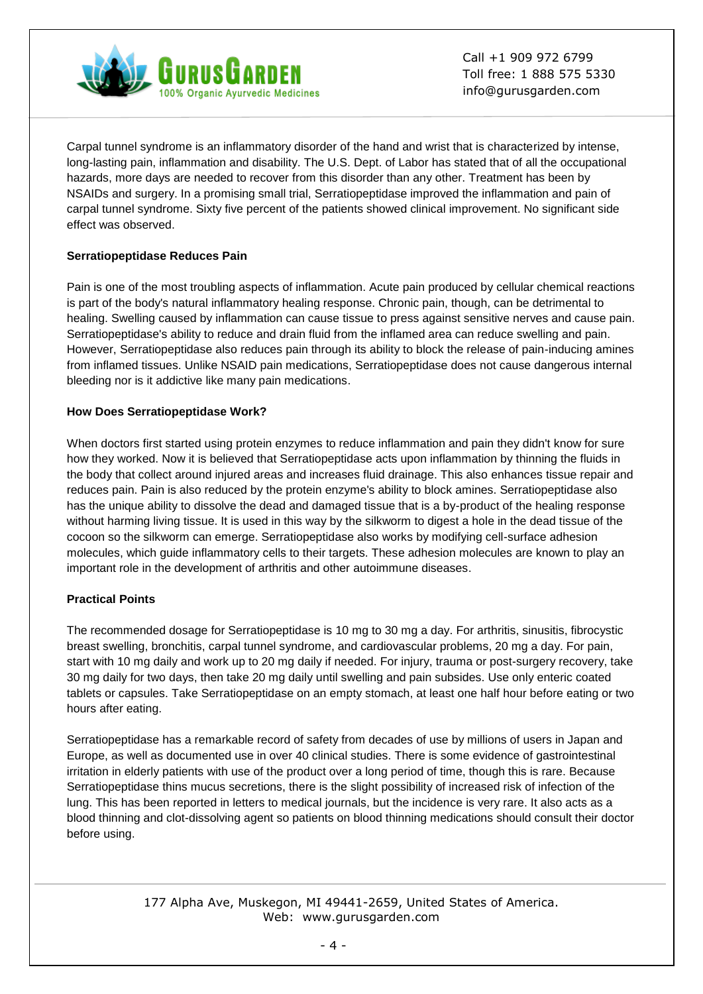

Carpal tunnel syndrome is an inflammatory disorder of the hand and wrist that is characterized by intense, long-lasting pain, inflammation and disability. The U.S. Dept. of Labor has stated that of all the occupational hazards, more days are needed to recover from this disorder than any other. Treatment has been by NSAIDs and surgery. In a promising small trial, Serratiopeptidase improved the inflammation and pain of carpal tunnel syndrome. Sixty five percent of the patients showed clinical improvement. No significant side effect was observed.

## **Serratiopeptidase Reduces Pain**

Pain is one of the most troubling aspects of inflammation. Acute pain produced by cellular chemical reactions is part of the body's natural inflammatory healing response. Chronic pain, though, can be detrimental to healing. Swelling caused by inflammation can cause tissue to press against sensitive nerves and cause pain. Serratiopeptidase's ability to reduce and drain fluid from the inflamed area can reduce swelling and pain. However, Serratiopeptidase also reduces pain through its ability to block the release of pain-inducing amines from inflamed tissues. Unlike NSAID pain medications, Serratiopeptidase does not cause dangerous internal bleeding nor is it addictive like many pain medications.

## **How Does Serratiopeptidase Work?**

When doctors first started using protein enzymes to reduce inflammation and pain they didn't know for sure how they worked. Now it is believed that Serratiopeptidase acts upon inflammation by thinning the fluids in the body that collect around injured areas and increases fluid drainage. This also enhances tissue repair and reduces pain. Pain is also reduced by the protein enzyme's ability to block amines. Serratiopeptidase also has the unique ability to dissolve the dead and damaged tissue that is a by-product of the healing response without harming living tissue. It is used in this way by the silkworm to digest a hole in the dead tissue of the cocoon so the silkworm can emerge. Serratiopeptidase also works by modifying cell-surface adhesion molecules, which guide inflammatory cells to their targets. These adhesion molecules are known to play an important role in the development of arthritis and other autoimmune diseases.

## **Practical Points**

The recommended dosage for Serratiopeptidase is 10 mg to 30 mg a day. For arthritis, sinusitis, fibrocystic breast swelling, bronchitis, carpal tunnel syndrome, and cardiovascular problems, 20 mg a day. For pain, start with 10 mg daily and work up to 20 mg daily if needed. For injury, trauma or post-surgery recovery, take 30 mg daily for two days, then take 20 mg daily until swelling and pain subsides. Use only enteric coated tablets or capsules. Take Serratiopeptidase on an empty stomach, at least one half hour before eating or two hours after eating.

Serratiopeptidase has a remarkable record of safety from decades of use by millions of users in Japan and Europe, as well as documented use in over 40 clinical studies. There is some evidence of gastrointestinal irritation in elderly patients with use of the product over a long period of time, though this is rare. Because Serratiopeptidase thins mucus secretions, there is the slight possibility of increased risk of infection of the lung. This has been reported in letters to medical journals, but the incidence is very rare. It also acts as a blood thinning and clot-dissolving agent so patients on blood thinning medications should consult their doctor before using.